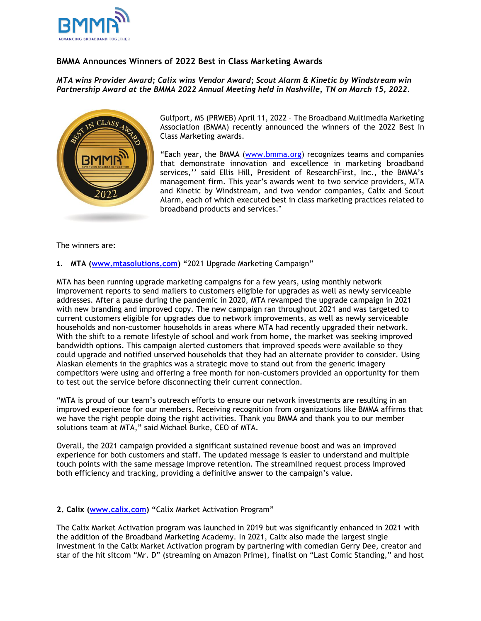

## **BMMA Announces Winners of 2022 Best in Class Marketing Awards**

## *MTA wins Provider Award; Calix wins Vendor Award; Scout Alarm & Kinetic by Windstream win Partnership Award at the BMMA 2022 Annual Meeting held in Nashville, TN on March 15, 2022.*



Gulfport, MS (PRWEB) April 11, 2022 – The Broadband Multimedia Marketing Association (BMMA) recently announced the winners of the 2022 Best in Class Marketing awards.

"Each year, the BMMA [\(www.bmma.org\)](http://www.bmma.org/) recognizes teams and companies that demonstrate innovation and excellence in marketing broadband services,'' said Ellis Hill, President of ResearchFirst, Inc., the BMMA's management firm. This year's awards went to two service providers, MTA and Kinetic by Windstream, and two vendor companies, Calix and Scout Alarm, each of which executed best in class marketing practices related to broadband products and services."

The winners are:

**1. MTA [\(www.mtasolutions.com\)](https://www.mtasolutions.com/) "**2021 Upgrade Marketing Campaign"

MTA has been running upgrade marketing campaigns for a few years, using monthly network improvement reports to send mailers to customers eligible for upgrades as well as newly serviceable addresses. After a pause during the pandemic in 2020, MTA revamped the upgrade campaign in 2021 with new branding and improved copy. The new campaign ran throughout 2021 and was targeted to current customers eligible for upgrades due to network improvements, as well as newly serviceable households and non-customer households in areas where MTA had recently upgraded their network. With the shift to a remote lifestyle of school and work from home, the market was seeking improved bandwidth options. This campaign alerted customers that improved speeds were available so they could upgrade and notified unserved households that they had an alternate provider to consider. Using Alaskan elements in the graphics was a strategic move to stand out from the generic imagery competitors were using and offering a free month for non-customers provided an opportunity for them to test out the service before disconnecting their current connection.

"MTA is proud of our team's outreach efforts to ensure our network investments are resulting in an improved experience for our members. Receiving recognition from organizations like BMMA affirms that we have the right people doing the right activities. Thank you BMMA and thank you to our member solutions team at MTA," said Michael Burke, CEO of MTA.

Overall, the 2021 campaign provided a significant sustained revenue boost and was an improved experience for both customers and staff. The updated message is easier to understand and multiple touch points with the same message improve retention. The streamlined request process improved both efficiency and tracking, providing a definitive answer to the campaign's value.

## **2. Calix [\(www.calix.com](https://www.calix.com/)) "**Calix Market Activation Program"

The Calix Market Activation program was launched in 2019 but was significantly enhanced in 2021 with the addition of the Broadband Marketing Academy. In 2021, Calix also made the largest single investment in the Calix Market Activation program by partnering with comedian Gerry Dee, creator and star of the hit sitcom "Mr. D" (streaming on Amazon Prime), finalist on "Last Comic Standing," and host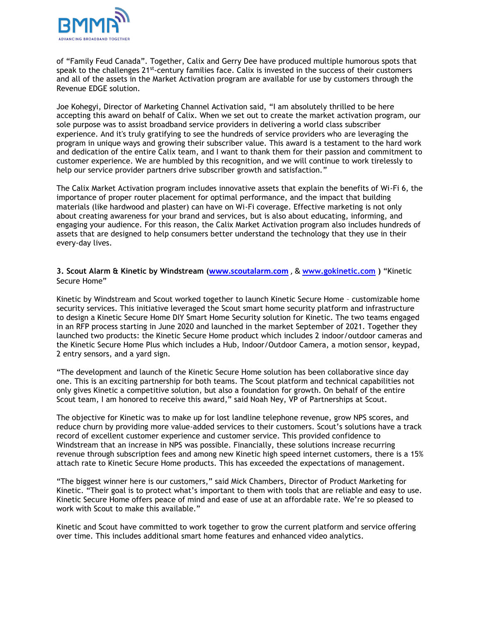

of "Family Feud Canada". Together, Calix and Gerry Dee have produced multiple humorous spots that speak to the challenges  $21^{st}$ -century families face. Calix is invested in the success of their customers and all of the assets in the Market Activation program are available for use by customers through the Revenue EDGE solution.

Joe Kohegyi, Director of Marketing Channel Activation said, "I am absolutely thrilled to be here accepting this award on behalf of Calix. When we set out to create the market activation program, our sole purpose was to assist broadband service providers in delivering a world class subscriber experience. And it's truly gratifying to see the hundreds of service providers who are leveraging the program in unique ways and growing their subscriber value. This award is a testament to the hard work and dedication of the entire Calix team, and I want to thank them for their passion and commitment to customer experience. We are humbled by this recognition, and we will continue to work tirelessly to help our service provider partners drive subscriber growth and satisfaction."

The Calix Market Activation program includes innovative assets that explain the benefits of Wi-Fi 6, the importance of proper router placement for optimal performance, and the impact that building materials (like hardwood and plaster) can have on Wi-Fi coverage. Effective marketing is not only about creating awareness for your brand and services, but is also about educating, informing, and engaging your audience. For this reason, the Calix Market Activation program also includes hundreds of assets that are designed to help consumers better understand the technology that they use in their every-day lives.

**3. Scout Alarm & Kinetic by Windstream ([www.scoutalarm.com](https://www.scoutalarm.com/)** , & **[www.gokinetic.com](https://gokinetic.com/) )** "Kinetic Secure Home"

Kinetic by Windstream and Scout worked together to launch Kinetic Secure Home – customizable home security services. This initiative leveraged the Scout smart home security platform and infrastructure to design a Kinetic Secure Home DIY Smart Home Security solution for Kinetic. The two teams engaged in an RFP process starting in June 2020 and launched in the market September of 2021. Together they launched two products: the Kinetic Secure Home product which includes 2 indoor/outdoor cameras and the Kinetic Secure Home Plus which includes a Hub, Indoor/Outdoor Camera, a motion sensor, keypad, 2 entry sensors, and a yard sign.

"The development and launch of the Kinetic Secure Home solution has been collaborative since day one. This is an exciting partnership for both teams. The Scout platform and technical capabilities not only gives Kinetic a competitive solution, but also a foundation for growth. On behalf of the entire Scout team, I am honored to receive this award," said Noah Ney, VP of Partnerships at Scout.

The objective for Kinetic was to make up for lost landline telephone revenue, grow NPS scores, and reduce churn by providing more value-added services to their customers. Scout's solutions have a track record of excellent customer experience and customer service. This provided confidence to Windstream that an increase in NPS was possible. Financially, these solutions increase recurring revenue through subscription fees and among new Kinetic high speed internet customers, there is a 15% attach rate to Kinetic Secure Home products. This has exceeded the expectations of management.

"The biggest winner here is our customers," said Mick Chambers, Director of Product Marketing for Kinetic. "Their goal is to protect what's important to them with tools that are reliable and easy to use. Kinetic Secure Home offers peace of mind and ease of use at an affordable rate. We're so pleased to work with Scout to make this available."

Kinetic and Scout have committed to work together to grow the current platform and service offering over time. This includes additional smart home features and enhanced video analytics.